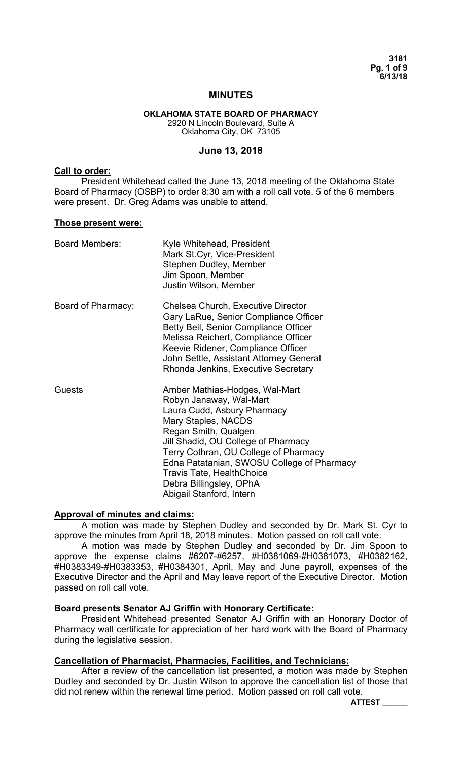**3181 Pg. 1 of 9 6/13/18** 

### **MINUTES**

#### **OKLAHOMA STATE BOARD OF PHARMACY**  2920 N Lincoln Boulevard, Suite A Oklahoma City, OK 73105

**June 13, 2018** 

#### **Call to order:**

President Whitehead called the June 13, 2018 meeting of the Oklahoma State Board of Pharmacy (OSBP) to order 8:30 am with a roll call vote. 5 of the 6 members were present. Dr. Greg Adams was unable to attend.

#### **Those present were:**

| <b>Board Members:</b> | Kyle Whitehead, President<br>Mark St.Cyr, Vice-President<br>Stephen Dudley, Member<br>Jim Spoon, Member<br>Justin Wilson, Member                                                                                                                                                                                                                                 |
|-----------------------|------------------------------------------------------------------------------------------------------------------------------------------------------------------------------------------------------------------------------------------------------------------------------------------------------------------------------------------------------------------|
| Board of Pharmacy:    | Chelsea Church, Executive Director<br>Gary LaRue, Senior Compliance Officer<br>Betty Beil, Senior Compliance Officer<br>Melissa Reichert, Compliance Officer<br>Keevie Ridener, Compliance Officer<br>John Settle, Assistant Attorney General<br>Rhonda Jenkins, Executive Secretary                                                                             |
| Guests                | Amber Mathias-Hodges, Wal-Mart<br>Robyn Janaway, Wal-Mart<br>Laura Cudd, Asbury Pharmacy<br>Mary Staples, NACDS<br>Regan Smith, Qualgen<br>Jill Shadid, OU College of Pharmacy<br>Terry Cothran, OU College of Pharmacy<br>Edna Patatanian, SWOSU College of Pharmacy<br><b>Travis Tate, HealthChoice</b><br>Debra Billingsley, OPhA<br>Abigail Stanford, Intern |

### **Approval of minutes and claims:**

A motion was made by Stephen Dudley and seconded by Dr. Mark St. Cyr to approve the minutes from April 18, 2018 minutes. Motion passed on roll call vote.

A motion was made by Stephen Dudley and seconded by Dr. Jim Spoon to approve the expense claims #6207-#6257, #H0381069-#H0381073, #H0382162, #H0383349-#H0383353, #H0384301, April, May and June payroll, expenses of the Executive Director and the April and May leave report of the Executive Director. Motion passed on roll call vote.

### **Board presents Senator AJ Griffin with Honorary Certificate:**

President Whitehead presented Senator AJ Griffin with an Honorary Doctor of Pharmacy wall certificate for appreciation of her hard work with the Board of Pharmacy during the legislative session.

### **Cancellation of Pharmacist, Pharmacies, Facilities, and Technicians:**

 After a review of the cancellation list presented, a motion was made by Stephen Dudley and seconded by Dr. Justin Wilson to approve the cancellation list of those that did not renew within the renewal time period. Motion passed on roll call vote.

**ATTEST \_\_\_\_\_\_**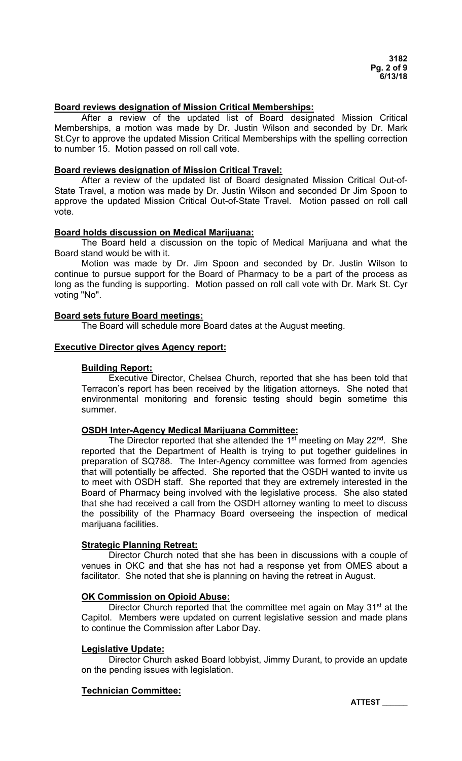### **Board reviews designation of Mission Critical Memberships:**

After a review of the updated list of Board designated Mission Critical Memberships, a motion was made by Dr. Justin Wilson and seconded by Dr. Mark St.Cyr to approve the updated Mission Critical Memberships with the spelling correction to number 15. Motion passed on roll call vote.

#### **Board reviews designation of Mission Critical Travel:**

After a review of the updated list of Board designated Mission Critical Out-of-State Travel, a motion was made by Dr. Justin Wilson and seconded Dr Jim Spoon to approve the updated Mission Critical Out-of-State Travel. Motion passed on roll call vote.

### **Board holds discussion on Medical Marijuana:**

 The Board held a discussion on the topic of Medical Marijuana and what the Board stand would be with it.

Motion was made by Dr. Jim Spoon and seconded by Dr. Justin Wilson to continue to pursue support for the Board of Pharmacy to be a part of the process as long as the funding is supporting. Motion passed on roll call vote with Dr. Mark St. Cyr voting "No".

### **Board sets future Board meetings:**

The Board will schedule more Board dates at the August meeting.

### **Executive Director gives Agency report:**

### **Building Report:**

 Executive Director, Chelsea Church, reported that she has been told that Terracon's report has been received by the litigation attorneys. She noted that environmental monitoring and forensic testing should begin sometime this summer.

# **OSDH Inter-Agency Medical Marijuana Committee:**

The Director reported that she attended the 1<sup>st</sup> meeting on May 22<sup>nd</sup>. She reported that the Department of Health is trying to put together guidelines in preparation of SQ788. The Inter-Agency committee was formed from agencies that will potentially be affected. She reported that the OSDH wanted to invite us to meet with OSDH staff. She reported that they are extremely interested in the Board of Pharmacy being involved with the legislative process. She also stated that she had received a call from the OSDH attorney wanting to meet to discuss the possibility of the Pharmacy Board overseeing the inspection of medical marijuana facilities.

### **Strategic Planning Retreat:**

 Director Church noted that she has been in discussions with a couple of venues in OKC and that she has not had a response yet from OMES about a facilitator. She noted that she is planning on having the retreat in August.

### **OK Commission on Opioid Abuse:**

Director Church reported that the committee met again on May 31<sup>st</sup> at the Capitol. Members were updated on current legislative session and made plans to continue the Commission after Labor Day.

### **Legislative Update:**

 Director Church asked Board lobbyist, Jimmy Durant, to provide an update on the pending issues with legislation.

### **Technician Committee:**

**ATTEST \_\_\_\_\_\_**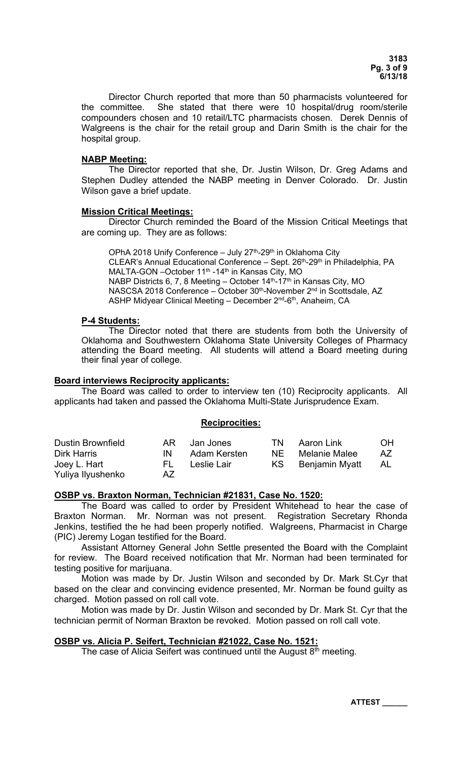Director Church reported that more than 50 pharmacists volunteered for the committee. She stated that there were 10 hospital/drug room/sterile compounders chosen and 10 retail/LTC pharmacists chosen. Derek Dennis of Walgreens is the chair for the retail group and Darin Smith is the chair for the hospital group.

### **NABP Meeting:**

 The Director reported that she, Dr. Justin Wilson, Dr. Greg Adams and Stephen Dudley attended the NABP meeting in Denver Colorado. Dr. Justin Wilson gave a brief update.

### **Mission Critical Meetings:**

 Director Church reminded the Board of the Mission Critical Meetings that are coming up. They are as follows:

OPhA 2018 Unify Conference – July  $27<sup>th</sup>$ -29<sup>th</sup> in Oklahoma City CLEAR's Annual Educational Conference – Sept. 26th-29th in Philadelphia, PA MALTA-GON - October 11<sup>th</sup> -14<sup>th</sup> in Kansas City, MO NABP Districts 6, 7, 8 Meeting – October 14<sup>th</sup>-17<sup>th</sup> in Kansas City, MO NASCSA 2018 Conference – October 30<sup>th</sup>-November 2<sup>nd</sup> in Scottsdale, AZ ASHP Midyear Clinical Meeting - December 2<sup>nd</sup>-6<sup>th</sup>, Anaheim, CA

### **P-4 Students:**

The Director noted that there are students from both the University of Oklahoma and Southwestern Oklahoma State University Colleges of Pharmacy attending the Board meeting. All students will attend a Board meeting during their final year of college.

# **Board interviews Reciprocity applicants:**

 The Board was called to order to interview ten (10) Reciprocity applicants. All applicants had taken and passed the Oklahoma Multi-State Jurisprudence Exam.

### **Reciprocities:**

| <b>Dustin Brownfield</b> | AR. | Jan Jones    | TN.  | Aaron Link        | OH.  |
|--------------------------|-----|--------------|------|-------------------|------|
| <b>Dirk Harris</b>       | IN  | Adam Kersten | NF . | Melanie Malee     | AZ . |
| Joey L. Hart             | FL. | Leslie Lair  |      | KS Benjamin Myatt | AL.  |
| Yuliya Ilyushenko        | AZ. |              |      |                   |      |

### **OSBP vs. Braxton Norman, Technician #21831, Case No. 1520:**

The Board was called to order by President Whitehead to hear the case of Braxton Norman. Mr. Norman was not present. Registration Secretary Rhonda Jenkins, testified the he had been properly notified. Walgreens, Pharmacist in Charge (PIC) Jeremy Logan testified for the Board.

Assistant Attorney General John Settle presented the Board with the Complaint for review. The Board received notification that Mr. Norman had been terminated for testing positive for marijuana.

Motion was made by Dr. Justin Wilson and seconded by Dr. Mark St.Cyr that based on the clear and convincing evidence presented, Mr. Norman be found guilty as charged. Motion passed on roll call vote.

Motion was made by Dr. Justin Wilson and seconded by Dr. Mark St. Cyr that the technician permit of Norman Braxton be revoked. Motion passed on roll call vote.

### **OSBP vs. Alicia P. Seifert, Technician #21022, Case No. 1521:**

The case of Alicia Seifert was continued until the August  $8^{th}$  meeting.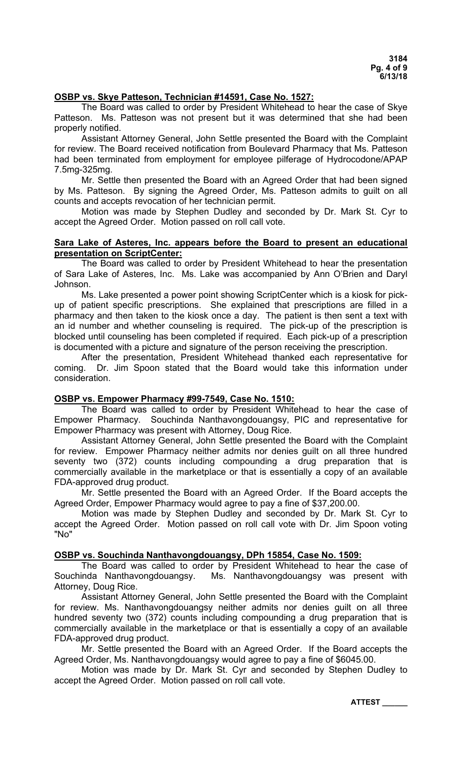### **OSBP vs. Skye Patteson, Technician #14591, Case No. 1527:**

The Board was called to order by President Whitehead to hear the case of Skye Patteson. Ms. Patteson was not present but it was determined that she had been properly notified.

Assistant Attorney General, John Settle presented the Board with the Complaint for review. The Board received notification from Boulevard Pharmacy that Ms. Patteson had been terminated from employment for employee pilferage of Hydrocodone/APAP 7.5mg-325mg.

Mr. Settle then presented the Board with an Agreed Order that had been signed by Ms. Patteson. By signing the Agreed Order, Ms. Patteson admits to guilt on all counts and accepts revocation of her technician permit.

Motion was made by Stephen Dudley and seconded by Dr. Mark St. Cyr to accept the Agreed Order. Motion passed on roll call vote.

### **Sara Lake of Asteres, Inc. appears before the Board to present an educational presentation on ScriptCenter:**

 The Board was called to order by President Whitehead to hear the presentation of Sara Lake of Asteres, Inc. Ms. Lake was accompanied by Ann O'Brien and Daryl Johnson.

 Ms. Lake presented a power point showing ScriptCenter which is a kiosk for pickup of patient specific prescriptions. She explained that prescriptions are filled in a pharmacy and then taken to the kiosk once a day. The patient is then sent a text with an id number and whether counseling is required. The pick-up of the prescription is blocked until counseling has been completed if required. Each pick-up of a prescription is documented with a picture and signature of the person receiving the prescription.

 After the presentation, President Whitehead thanked each representative for coming. Dr. Jim Spoon stated that the Board would take this information under consideration.

# **OSBP vs. Empower Pharmacy #99-7549, Case No. 1510:**

The Board was called to order by President Whitehead to hear the case of Empower Pharmacy. Souchinda Nanthavongdouangsy, PIC and representative for Empower Pharmacy was present with Attorney, Doug Rice.

Assistant Attorney General, John Settle presented the Board with the Complaint for review. Empower Pharmacy neither admits nor denies guilt on all three hundred seventy two (372) counts including compounding a drug preparation that is commercially available in the marketplace or that is essentially a copy of an available FDA-approved drug product.

Mr. Settle presented the Board with an Agreed Order. If the Board accepts the Agreed Order, Empower Pharmacy would agree to pay a fine of \$37,200.00.

Motion was made by Stephen Dudley and seconded by Dr. Mark St. Cyr to accept the Agreed Order. Motion passed on roll call vote with Dr. Jim Spoon voting "No"

### **OSBP vs. Souchinda Nanthavongdouangsy, DPh 15854, Case No. 1509:**

The Board was called to order by President Whitehead to hear the case of Souchinda Nanthavongdouangsy. Ms. Nanthavongdouangsy was present with Attorney, Doug Rice.

Assistant Attorney General, John Settle presented the Board with the Complaint for review. Ms. Nanthavongdouangsy neither admits nor denies guilt on all three hundred seventy two (372) counts including compounding a drug preparation that is commercially available in the marketplace or that is essentially a copy of an available FDA-approved drug product.

Mr. Settle presented the Board with an Agreed Order. If the Board accepts the Agreed Order, Ms. Nanthavongdouangsy would agree to pay a fine of \$6045.00.

Motion was made by Dr. Mark St. Cyr and seconded by Stephen Dudley to accept the Agreed Order. Motion passed on roll call vote.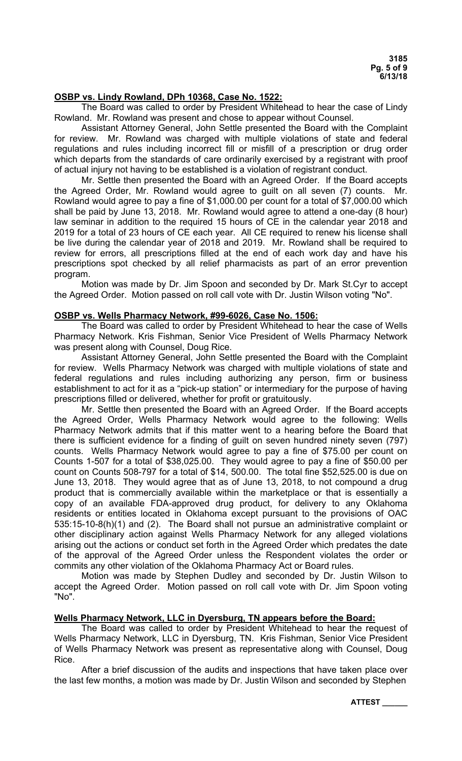### **OSBP vs. Lindy Rowland, DPh 10368, Case No. 1522:**

The Board was called to order by President Whitehead to hear the case of Lindy Rowland. Mr. Rowland was present and chose to appear without Counsel.

Assistant Attorney General, John Settle presented the Board with the Complaint for review. Mr. Rowland was charged with multiple violations of state and federal regulations and rules including incorrect fill or misfill of a prescription or drug order which departs from the standards of care ordinarily exercised by a registrant with proof of actual injury not having to be established is a violation of registrant conduct.

Mr. Settle then presented the Board with an Agreed Order. If the Board accepts the Agreed Order, Mr. Rowland would agree to guilt on all seven (7) counts. Mr. Rowland would agree to pay a fine of \$1,000.00 per count for a total of \$7,000.00 which shall be paid by June 13, 2018. Mr. Rowland would agree to attend a one-day (8 hour) law seminar in addition to the required 15 hours of CE in the calendar year 2018 and 2019 for a total of 23 hours of CE each year. All CE required to renew his license shall be live during the calendar year of 2018 and 2019. Mr. Rowland shall be required to review for errors, all prescriptions filled at the end of each work day and have his prescriptions spot checked by all relief pharmacists as part of an error prevention program.

Motion was made by Dr. Jim Spoon and seconded by Dr. Mark St.Cyr to accept the Agreed Order. Motion passed on roll call vote with Dr. Justin Wilson voting "No".

#### **OSBP vs. Wells Pharmacy Network, #99-6026, Case No. 1506:**

The Board was called to order by President Whitehead to hear the case of Wells Pharmacy Network. Kris Fishman, Senior Vice President of Wells Pharmacy Network was present along with Counsel, Doug Rice.

Assistant Attorney General, John Settle presented the Board with the Complaint for review. Wells Pharmacy Network was charged with multiple violations of state and federal regulations and rules including authorizing any person, firm or business establishment to act for it as a "pick-up station" or intermediary for the purpose of having prescriptions filled or delivered, whether for profit or gratuitously.

Mr. Settle then presented the Board with an Agreed Order. If the Board accepts the Agreed Order, Wells Pharmacy Network would agree to the following: Wells Pharmacy Network admits that if this matter went to a hearing before the Board that there is sufficient evidence for a finding of guilt on seven hundred ninety seven (797) counts. Wells Pharmacy Network would agree to pay a fine of \$75.00 per count on Counts 1-507 for a total of \$38,025.00. They would agree to pay a fine of \$50.00 per count on Counts 508-797 for a total of \$14, 500.00. The total fine \$52,525.00 is due on June 13, 2018. They would agree that as of June 13, 2018, to not compound a drug product that is commercially available within the marketplace or that is essentially a copy of an available FDA-approved drug product, for delivery to any Oklahoma residents or entities located in Oklahoma except pursuant to the provisions of OAC 535:15-10-8(h)(1) and (2). The Board shall not pursue an administrative complaint or other disciplinary action against Wells Pharmacy Network for any alleged violations arising out the actions or conduct set forth in the Agreed Order which predates the date of the approval of the Agreed Order unless the Respondent violates the order or commits any other violation of the Oklahoma Pharmacy Act or Board rules.

Motion was made by Stephen Dudley and seconded by Dr. Justin Wilson to accept the Agreed Order. Motion passed on roll call vote with Dr. Jim Spoon voting "No".

### **Wells Pharmacy Network, LLC in Dyersburg, TN appears before the Board:**

The Board was called to order by President Whitehead to hear the request of Wells Pharmacy Network, LLC in Dyersburg, TN. Kris Fishman, Senior Vice President of Wells Pharmacy Network was present as representative along with Counsel, Doug Rice.

After a brief discussion of the audits and inspections that have taken place over the last few months, a motion was made by Dr. Justin Wilson and seconded by Stephen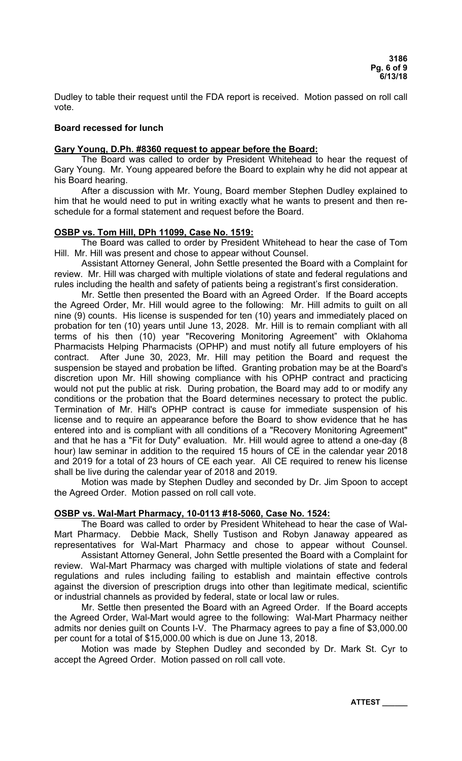Dudley to table their request until the FDA report is received. Motion passed on roll call vote.

### **Board recessed for lunch**

### **Gary Young, D.Ph. #8360 request to appear before the Board:**

 The Board was called to order by President Whitehead to hear the request of Gary Young. Mr. Young appeared before the Board to explain why he did not appear at his Board hearing.

 After a discussion with Mr. Young, Board member Stephen Dudley explained to him that he would need to put in writing exactly what he wants to present and then reschedule for a formal statement and request before the Board.

### **OSBP vs. Tom Hill, DPh 11099, Case No. 1519:**

The Board was called to order by President Whitehead to hear the case of Tom Hill. Mr. Hill was present and chose to appear without Counsel.

Assistant Attorney General, John Settle presented the Board with a Complaint for review. Mr. Hill was charged with multiple violations of state and federal regulations and rules including the health and safety of patients being a registrant's first consideration.

Mr. Settle then presented the Board with an Agreed Order. If the Board accepts the Agreed Order, Mr. Hill would agree to the following: Mr. Hill admits to guilt on all nine (9) counts. His license is suspended for ten (10) years and immediately placed on probation for ten (10) years until June 13, 2028. Mr. Hill is to remain compliant with all terms of his then (10) year "Recovering Monitoring Agreement" with Oklahoma Pharmacists Helping Pharmacists (OPHP) and must notify all future employers of his contract. After June 30, 2023, Mr. Hill may petition the Board and request the suspension be stayed and probation be lifted. Granting probation may be at the Board's discretion upon Mr. Hill showing compliance with his OPHP contract and practicing would not put the public at risk. During probation, the Board may add to or modify any conditions or the probation that the Board determines necessary to protect the public. Termination of Mr. Hill's OPHP contract is cause for immediate suspension of his license and to require an appearance before the Board to show evidence that he has entered into and is compliant with all conditions of a "Recovery Monitoring Agreement" and that he has a "Fit for Duty" evaluation. Mr. Hill would agree to attend a one-day (8 hour) law seminar in addition to the required 15 hours of CE in the calendar year 2018 and 2019 for a total of 23 hours of CE each year. All CE required to renew his license shall be live during the calendar year of 2018 and 2019.

Motion was made by Stephen Dudley and seconded by Dr. Jim Spoon to accept the Agreed Order. Motion passed on roll call vote.

## **OSBP vs. Wal-Mart Pharmacy, 10-0113 #18-5060, Case No. 1524:**

The Board was called to order by President Whitehead to hear the case of Wal-Mart Pharmacy. Debbie Mack, Shelly Tustison and Robyn Janaway appeared as representatives for Wal-Mart Pharmacy and chose to appear without Counsel.

 Assistant Attorney General, John Settle presented the Board with a Complaint for review. Wal-Mart Pharmacy was charged with multiple violations of state and federal regulations and rules including failing to establish and maintain effective controls against the diversion of prescription drugs into other than legitimate medical, scientific or industrial channels as provided by federal, state or local law or rules.

Mr. Settle then presented the Board with an Agreed Order. If the Board accepts the Agreed Order, Wal-Mart would agree to the following: Wal-Mart Pharmacy neither admits nor denies guilt on Counts I-V. The Pharmacy agrees to pay a fine of \$3,000.00 per count for a total of \$15,000.00 which is due on June 13, 2018.

Motion was made by Stephen Dudley and seconded by Dr. Mark St. Cyr to accept the Agreed Order. Motion passed on roll call vote.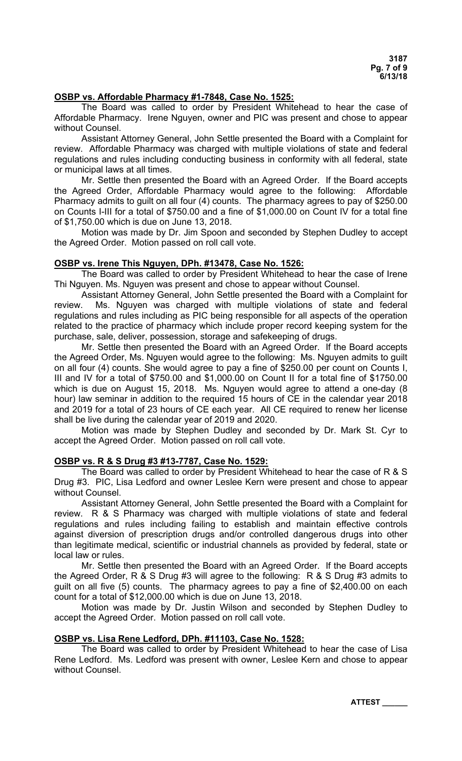### **OSBP vs. Affordable Pharmacy #1-7848, Case No. 1525:**

The Board was called to order by President Whitehead to hear the case of Affordable Pharmacy. Irene Nguyen, owner and PIC was present and chose to appear without Counsel.

Assistant Attorney General, John Settle presented the Board with a Complaint for review. Affordable Pharmacy was charged with multiple violations of state and federal regulations and rules including conducting business in conformity with all federal, state or municipal laws at all times.

Mr. Settle then presented the Board with an Agreed Order. If the Board accepts the Agreed Order, Affordable Pharmacy would agree to the following: Affordable Pharmacy admits to guilt on all four (4) counts. The pharmacy agrees to pay of \$250.00 on Counts I-III for a total of \$750.00 and a fine of \$1,000.00 on Count IV for a total fine of \$1,750.00 which is due on June 13, 2018.

Motion was made by Dr. Jim Spoon and seconded by Stephen Dudley to accept the Agreed Order. Motion passed on roll call vote.

### **OSBP vs. Irene This Nguyen, DPh. #13478, Case No. 1526:**

The Board was called to order by President Whitehead to hear the case of Irene Thi Nguyen. Ms. Nguyen was present and chose to appear without Counsel.

Assistant Attorney General, John Settle presented the Board with a Complaint for review. Ms. Nguyen was charged with multiple violations of state and federal regulations and rules including as PIC being responsible for all aspects of the operation related to the practice of pharmacy which include proper record keeping system for the purchase, sale, deliver, possession, storage and safekeeping of drugs.

Mr. Settle then presented the Board with an Agreed Order. If the Board accepts the Agreed Order, Ms. Nguyen would agree to the following: Ms. Nguyen admits to guilt on all four (4) counts. She would agree to pay a fine of \$250.00 per count on Counts I, III and IV for a total of \$750.00 and \$1,000.00 on Count II for a total fine of \$1750.00 which is due on August 15, 2018. Ms. Nguyen would agree to attend a one-day (8 hour) law seminar in addition to the required 15 hours of CE in the calendar year 2018 and 2019 for a total of 23 hours of CE each year. All CE required to renew her license shall be live during the calendar year of 2019 and 2020.

Motion was made by Stephen Dudley and seconded by Dr. Mark St. Cyr to accept the Agreed Order. Motion passed on roll call vote.

### **OSBP vs. R & S Drug #3 #13-7787, Case No. 1529:**

The Board was called to order by President Whitehead to hear the case of R & S Drug #3. PIC, Lisa Ledford and owner Leslee Kern were present and chose to appear without Counsel.

Assistant Attorney General, John Settle presented the Board with a Complaint for review. R & S Pharmacy was charged with multiple violations of state and federal regulations and rules including failing to establish and maintain effective controls against diversion of prescription drugs and/or controlled dangerous drugs into other than legitimate medical, scientific or industrial channels as provided by federal, state or local law or rules.

Mr. Settle then presented the Board with an Agreed Order. If the Board accepts the Agreed Order, R & S Drug #3 will agree to the following: R & S Drug #3 admits to guilt on all five (5) counts. The pharmacy agrees to pay a fine of \$2,400.00 on each count for a total of \$12,000.00 which is due on June 13, 2018.

Motion was made by Dr. Justin Wilson and seconded by Stephen Dudley to accept the Agreed Order. Motion passed on roll call vote.

#### **OSBP vs. Lisa Rene Ledford, DPh. #11103, Case No. 1528:**

The Board was called to order by President Whitehead to hear the case of Lisa Rene Ledford. Ms. Ledford was present with owner, Leslee Kern and chose to appear without Counsel.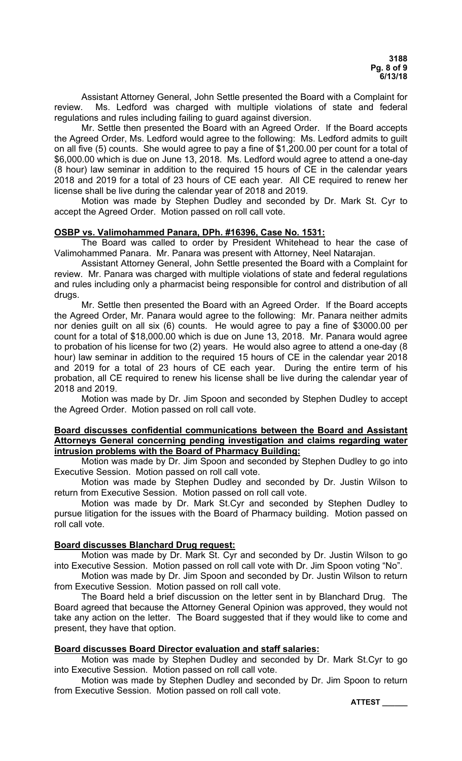Assistant Attorney General, John Settle presented the Board with a Complaint for review. Ms. Ledford was charged with multiple violations of state and federal regulations and rules including failing to guard against diversion.

Mr. Settle then presented the Board with an Agreed Order. If the Board accepts the Agreed Order, Ms. Ledford would agree to the following: Ms. Ledford admits to guilt on all five (5) counts. She would agree to pay a fine of \$1,200.00 per count for a total of \$6,000.00 which is due on June 13, 2018. Ms. Ledford would agree to attend a one-day (8 hour) law seminar in addition to the required 15 hours of CE in the calendar years 2018 and 2019 for a total of 23 hours of CE each year. All CE required to renew her license shall be live during the calendar year of 2018 and 2019.

Motion was made by Stephen Dudley and seconded by Dr. Mark St. Cyr to accept the Agreed Order. Motion passed on roll call vote.

### **OSBP vs. Valimohammed Panara, DPh. #16396, Case No. 1531:**

The Board was called to order by President Whitehead to hear the case of Valimohammed Panara. Mr. Panara was present with Attorney, Neel Natarajan.

Assistant Attorney General, John Settle presented the Board with a Complaint for review. Mr. Panara was charged with multiple violations of state and federal regulations and rules including only a pharmacist being responsible for control and distribution of all drugs.

Mr. Settle then presented the Board with an Agreed Order. If the Board accepts the Agreed Order, Mr. Panara would agree to the following: Mr. Panara neither admits nor denies guilt on all six (6) counts. He would agree to pay a fine of \$3000.00 per count for a total of \$18,000.00 which is due on June 13, 2018. Mr. Panara would agree to probation of his license for two (2) years. He would also agree to attend a one-day (8 hour) law seminar in addition to the required 15 hours of CE in the calendar year 2018 and 2019 for a total of 23 hours of CE each year. During the entire term of his probation, all CE required to renew his license shall be live during the calendar year of 2018 and 2019.

Motion was made by Dr. Jim Spoon and seconded by Stephen Dudley to accept the Agreed Order. Motion passed on roll call vote.

### **Board discusses confidential communications between the Board and Assistant Attorneys General concerning pending investigation and claims regarding water intrusion problems with the Board of Pharmacy Building:**

 Motion was made by Dr. Jim Spoon and seconded by Stephen Dudley to go into Executive Session. Motion passed on roll call vote.

 Motion was made by Stephen Dudley and seconded by Dr. Justin Wilson to return from Executive Session. Motion passed on roll call vote.

 Motion was made by Dr. Mark St.Cyr and seconded by Stephen Dudley to pursue litigation for the issues with the Board of Pharmacy building. Motion passed on roll call vote.

# **Board discusses Blanchard Drug request:**

 Motion was made by Dr. Mark St. Cyr and seconded by Dr. Justin Wilson to go into Executive Session. Motion passed on roll call vote with Dr. Jim Spoon voting "No".

 Motion was made by Dr. Jim Spoon and seconded by Dr. Justin Wilson to return from Executive Session. Motion passed on roll call vote.

 The Board held a brief discussion on the letter sent in by Blanchard Drug. The Board agreed that because the Attorney General Opinion was approved, they would not take any action on the letter. The Board suggested that if they would like to come and present, they have that option.

### **Board discusses Board Director evaluation and staff salaries:**

 Motion was made by Stephen Dudley and seconded by Dr. Mark St.Cyr to go into Executive Session. Motion passed on roll call vote.

 Motion was made by Stephen Dudley and seconded by Dr. Jim Spoon to return from Executive Session. Motion passed on roll call vote.